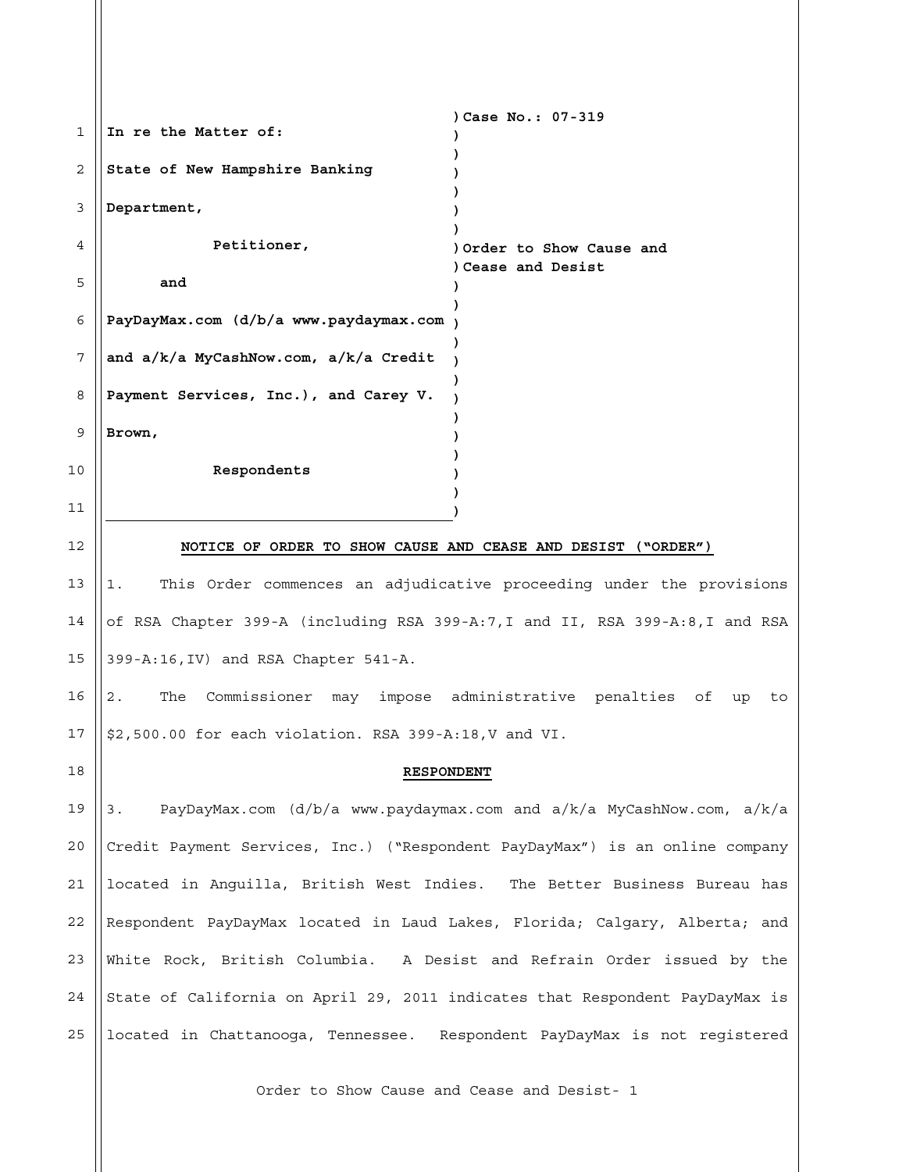| 1  | In re the Matter of:                                                          | Case No.: 07-319                                                            |
|----|-------------------------------------------------------------------------------|-----------------------------------------------------------------------------|
| 2  | State of New Hampshire Banking                                                |                                                                             |
| 3  | Department,                                                                   |                                                                             |
| 4  | Petitioner,                                                                   | ) Order to Show Cause and                                                   |
| 5  | and                                                                           | Cease and Desist                                                            |
| 6  | PayDayMax.com (d/b/a www.paydaymax.com                                        |                                                                             |
| 7  | and a/k/a MyCashNow.com, a/k/a Credit                                         |                                                                             |
| 8  | Payment Services, Inc.), and Carey V.                                         |                                                                             |
| 9  | Brown,                                                                        |                                                                             |
| 10 | Respondents                                                                   |                                                                             |
| 11 |                                                                               |                                                                             |
| 12 | NOTICE OF ORDER TO SHOW CAUSE AND CEASE AND DESIST ("ORDER")                  |                                                                             |
| 13 | 1.                                                                            | This Order commences an adjudicative proceeding under the provisions        |
| 14 | of RSA Chapter 399-A (including RSA 399-A:7, I and II, RSA 399-A:8, I and RSA |                                                                             |
| 15 | 399-A:16, IV) and RSA Chapter 541-A.                                          |                                                                             |
| 16 | The<br>2.                                                                     | Commissioner may impose administrative penalties of<br>up<br>to             |
| 17 | \$2,500.00 for each violation. RSA 399-A:18, V and VI.                        |                                                                             |
| 18 | <b>RESPONDENT</b>                                                             |                                                                             |
| 19 | З.                                                                            | PayDayMax.com $(d/b/a$ www.paydaymax.com and $a/k/a$ MyCashNow.com, $a/k/a$ |
| 20 | Credit Payment Services, Inc.) ("Respondent PayDayMax") is an online company  |                                                                             |
| 21 | located in Anguilla, British West Indies. The Better Business Bureau has      |                                                                             |
| 22 | Respondent PayDayMax located in Laud Lakes, Florida; Calgary, Alberta; and    |                                                                             |
| 23 | White Rock, British Columbia. A Desist and Refrain Order issued by the        |                                                                             |
| 24 | State of California on April 29, 2011 indicates that Respondent PayDayMax is  |                                                                             |

Order to Show Cause and Cease and Desist- 1

 $\parallel$ located in Chattanooga, Tennessee. Respondent PayDayMax is not registered

25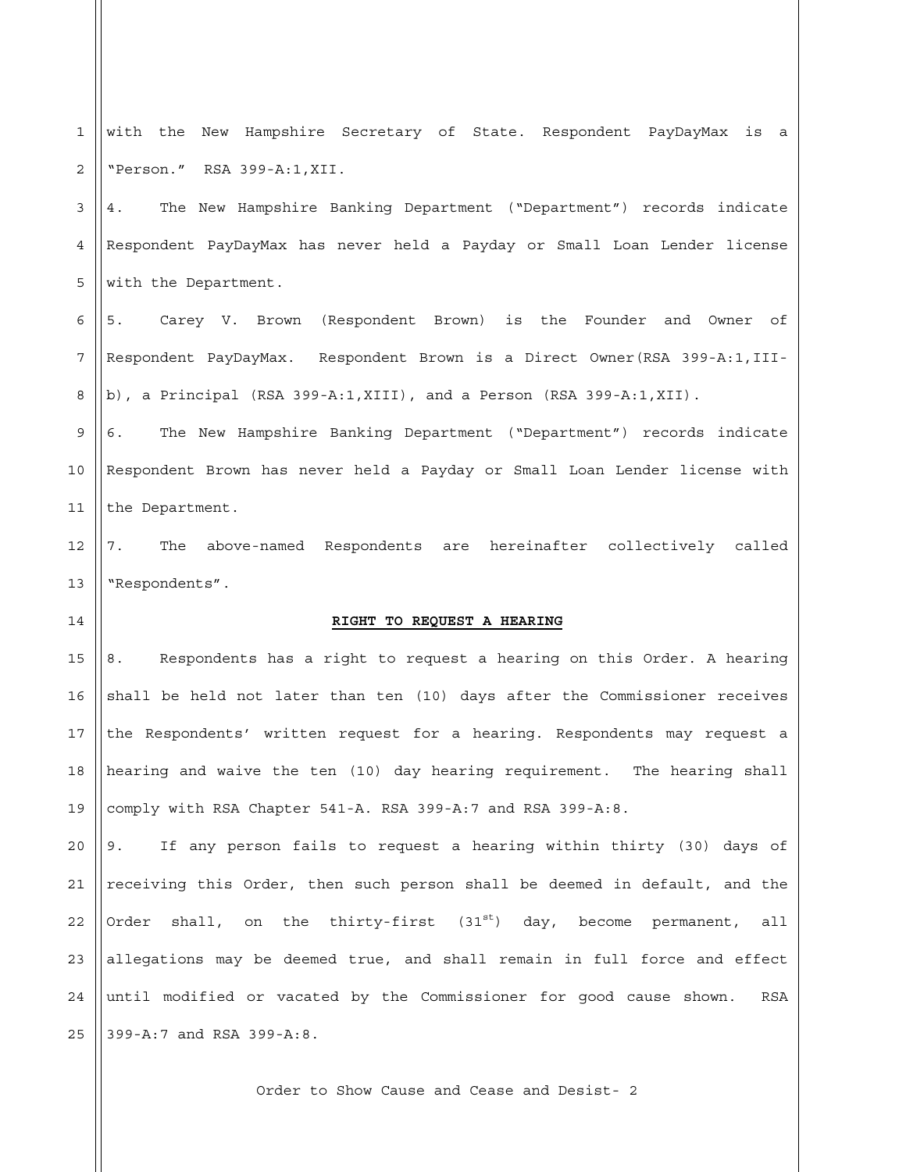1 2 with the New Hampshire Secretary of State. Respondent PayDayMax is a "Person." RSA 399-A:1,XII.

3 4 5 4. The New Hampshire Banking Department ("Department") records indicate Respondent PayDayMax has never held a Payday or Small Loan Lender license with the Department.

6 7 8 5. Carey V. Brown (Respondent Brown) is the Founder and Owner of Respondent PayDayMax. Respondent Brown is a Direct Owner(RSA 399-A:1,IIIb), a Principal (RSA 399-A:1,XIII), and a Person (RSA 399-A:1,XII).

9 10 11 6. The New Hampshire Banking Department ("Department") records indicate Respondent Brown has never held a Payday or Small Loan Lender license with the Department.

12 13 7. The above-named Respondents are hereinafter collectively called "Respondents".

## **RIGHT TO REQUEST A HEARING**

14

15 16 17 18 19 8. Respondents has a right to request a hearing on this Order. A hearing shall be held not later than ten (10) days after the Commissioner receives the Respondents' written request for a hearing. Respondents may request a hearing and waive the ten (10) day hearing requirement. The hearing shall comply with RSA Chapter 541-A. RSA 399-A:7 and RSA 399-A:8.

20 21 22 23 24 25 9. If any person fails to request a hearing within thirty (30) days of receiving this Order, then such person shall be deemed in default, and the Order shall, on the thirty-first  $(31^{st})$  day, become permanent, all allegations may be deemed true, and shall remain in full force and effect until modified or vacated by the Commissioner for good cause shown. RSA 399-A:7 and RSA 399-A:8.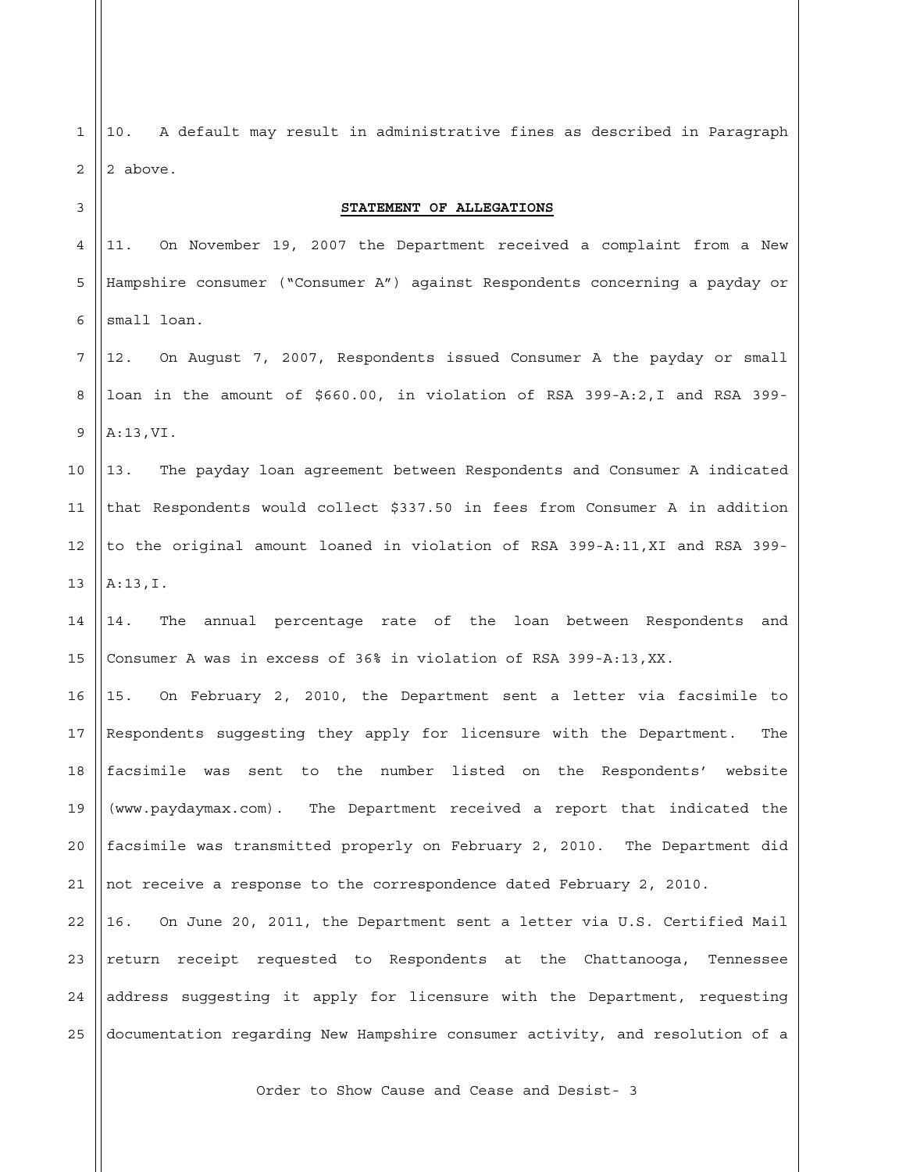| 1              | A default may result in administrative fines as described in Paragraph<br>10. |
|----------------|-------------------------------------------------------------------------------|
| $\overline{2}$ | 2 above.                                                                      |
| 3              | STATEMENT OF ALLEGATIONS                                                      |
| 4              | On November 19, 2007 the Department received a complaint from a New<br>11.    |
| 5              | Hampshire consumer ("Consumer A") against Respondents concerning a payday or  |
| 6              | small loan.                                                                   |
| 7              | On August 7, 2007, Respondents issued Consumer A the payday or small<br>12.   |
| 8              | loan in the amount of \$660.00, in violation of RSA 399-A:2, I and RSA 399-   |
| 9              | A:13,VI.                                                                      |
| 10             | The payday loan agreement between Respondents and Consumer A indicated<br>13. |
| 11             | that Respondents would collect \$337.50 in fees from Consumer A in addition   |
| 12             | to the original amount loaned in violation of RSA 399-A:11, XI and RSA 399-   |
| 13             | A:13,I.                                                                       |
| 14             | The<br>annual percentage rate of the loan between Respondents<br>and<br>14.   |
| 15             | Consumer A was in excess of 36% in violation of RSA 399-A:13, XX.             |
| 16             | On February 2, 2010, the Department sent a letter via facsimile to<br>15.     |
| 17             | Respondents suggesting they apply for licensure with the Department.<br>The   |
| 18             | facsimile was sent to the number listed on the Respondents'<br>website        |
| 19             | (www.paydaymax.com). The Department received a report that indicated the      |
| 20             | facsimile was transmitted properly on February 2, 2010. The Department did    |
| 21             | not receive a response to the correspondence dated February 2, 2010.          |
| 22             | On June 20, 2011, the Department sent a letter via U.S. Certified Mail<br>16. |
| 23             | return receipt requested to Respondents at the Chattanooga, Tennessee         |
| 24             | address suggesting it apply for licensure with the Department, requesting     |
| 25             | documentation regarding New Hampshire consumer activity, and resolution of a  |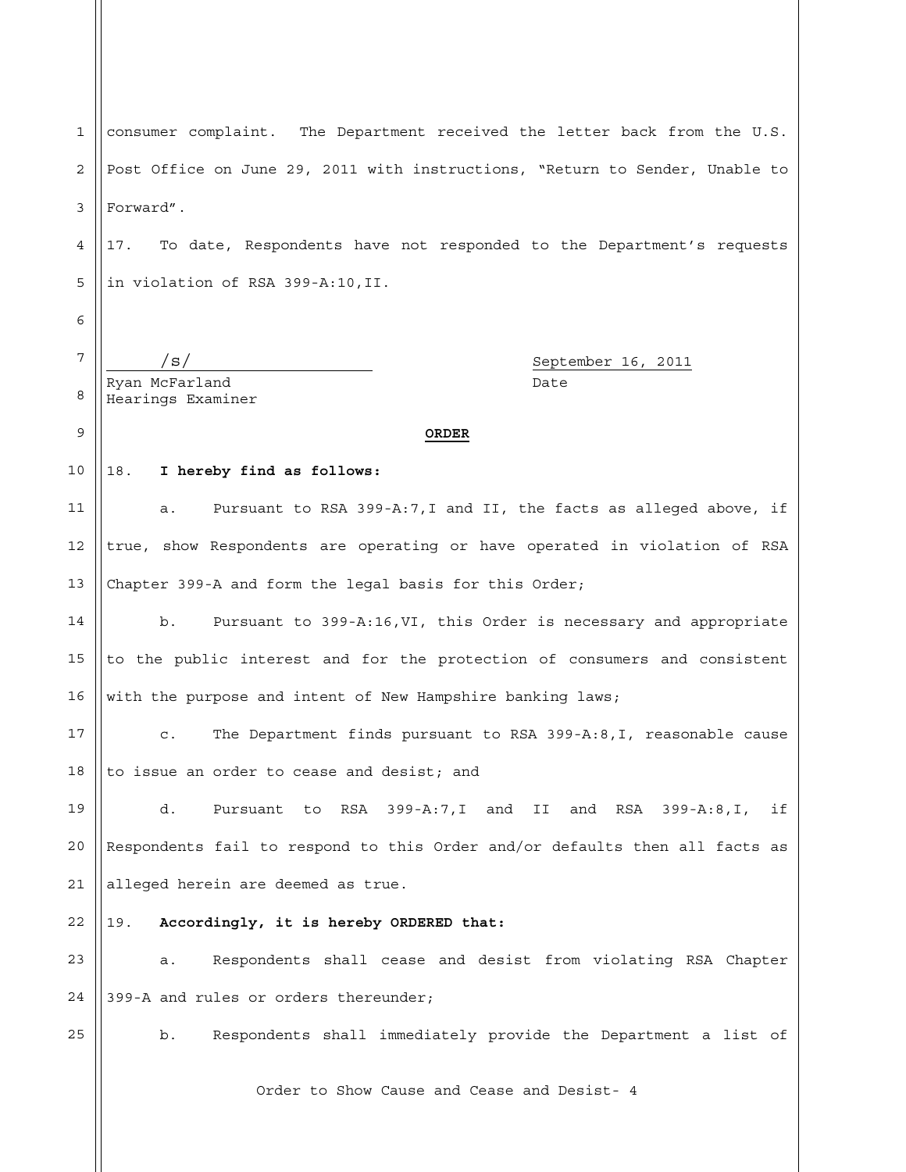1 2 3 4 5 6 7 8 9 10 11 12 13 14 15 16 17 18 19 20 consumer complaint. The Department received the letter back from the U.S. Post Office on June 29, 2011 with instructions, "Return to Sender, Unable to Forward". 17. To date, Respondents have not responded to the Department's requests in violation of RSA 399-A:10,II. /s/ September 16, 2011 Ryan McFarland Date Hearings Examiner **ORDER** 18. **I hereby find as follows:**  a. Pursuant to RSA 399-A:7,I and II, the facts as alleged above, if true, show Respondents are operating or have operated in violation of RSA Chapter 399-A and form the legal basis for this Order; b. Pursuant to 399-A:16,VI, this Order is necessary and appropriate to the public interest and for the protection of consumers and consistent with the purpose and intent of New Hampshire banking laws; c. The Department finds pursuant to RSA 399-A:8,I, reasonable cause to issue an order to cease and desist; and d. Pursuant to RSA 399-A:7,I and II and RSA 399-A:8,I, if Respondents fail to respond to this Order and/or defaults then all facts as

21 alleged herein are deemed as true.

## 22 19. **Accordingly, it is hereby ORDERED that:**

23 24 a. Respondents shall cease and desist from violating RSA Chapter 399-A and rules or orders thereunder;

25

b. Respondents shall immediately provide the Department a list of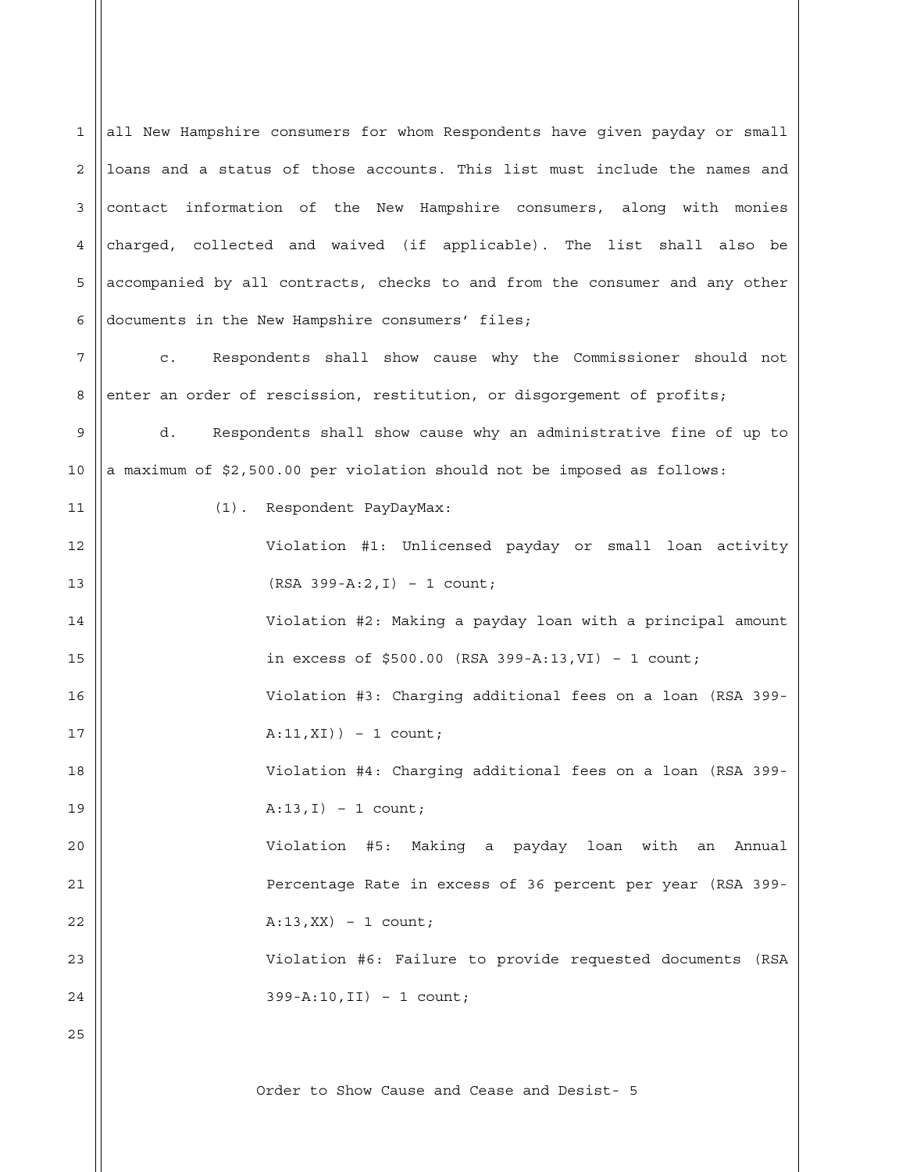1  $\mathcal{L}$ 3 4 5 6 7 8 9 10 11 12 13 14 15 16 17 18 19 20 21 22  $23$ 24 25 all New Hampshire consumers for whom Respondents have given payday or small loans and a status of those accounts. This list must include the names and contact information of the New Hampshire consumers, along with monies charged, collected and waived (if applicable). The list shall also be accompanied by all contracts, checks to and from the consumer and any other documents in the New Hampshire consumers' files; c. Respondents shall show cause why the Commissioner should not enter an order of rescission, restitution, or disgorgement of profits; d. Respondents shall show cause why an administrative fine of up to a maximum of \$2,500.00 per violation should not be imposed as follows: (1). Respondent PayDayMax: Violation #1: Unlicensed payday or small loan activity (RSA 399-A:2,I) – 1 count; Violation #2: Making a payday loan with a principal amount in excess of \$500.00 (RSA 399-A:13,VI) – 1 count; Violation #3: Charging additional fees on a loan (RSA 399- A:11,XI)) – 1 count; Violation #4: Charging additional fees on a loan (RSA 399-  $A:13,I$ ) – 1 count; Violation #5: Making a payday loan with an Annual Percentage Rate in excess of 36 percent per year (RSA 399-  $A:13,XX$ ) – 1 count; Violation #6: Failure to provide requested documents (RSA 399-A:10,II) – 1 count;